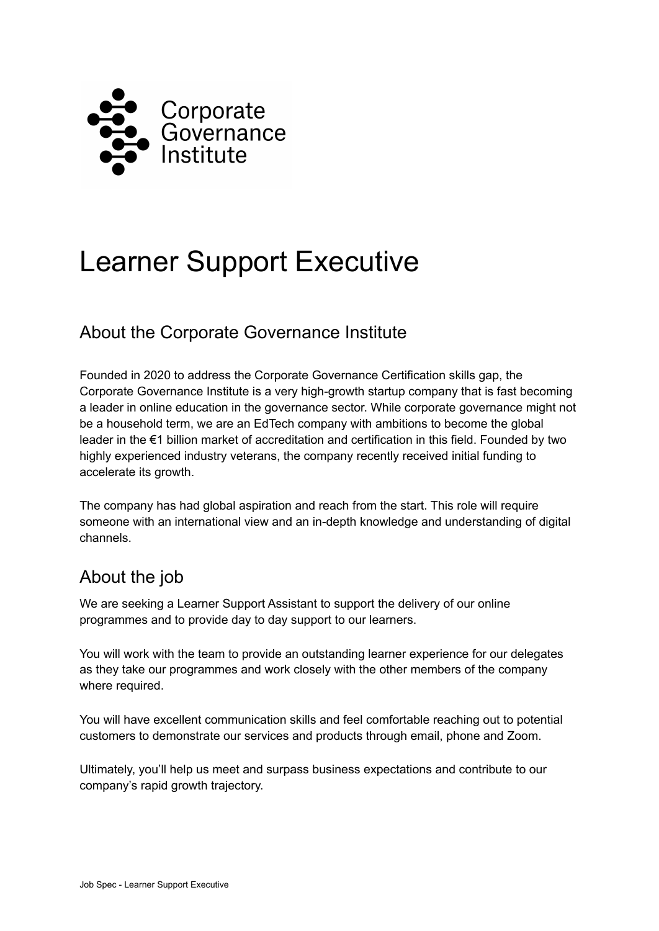

# Learner Support Executive

### About the Corporate Governance Institute

Founded in 2020 to address the Corporate Governance Certification skills gap, the Corporate Governance Institute is a very high-growth startup company that is fast becoming a leader in online education in the governance sector. While corporate governance might not be a household term, we are an EdTech company with ambitions to become the global leader in the €1 billion market of accreditation and certification in this field. Founded by two highly experienced industry veterans, the company recently received initial funding to accelerate its growth.

The company has had global aspiration and reach from the start. This role will require someone with an international view and an in-depth knowledge and understanding of digital channels.

## About the job

We are seeking a Learner Support Assistant to support the delivery of our online programmes and to provide day to day support to our learners.

You will work with the team to provide an outstanding learner experience for our delegates as they take our programmes and work closely with the other members of the company where required.

You will have excellent communication skills and feel comfortable reaching out to potential customers to demonstrate our services and products through email, phone and Zoom.

Ultimately, you'll help us meet and surpass business expectations and contribute to our company's rapid growth trajectory.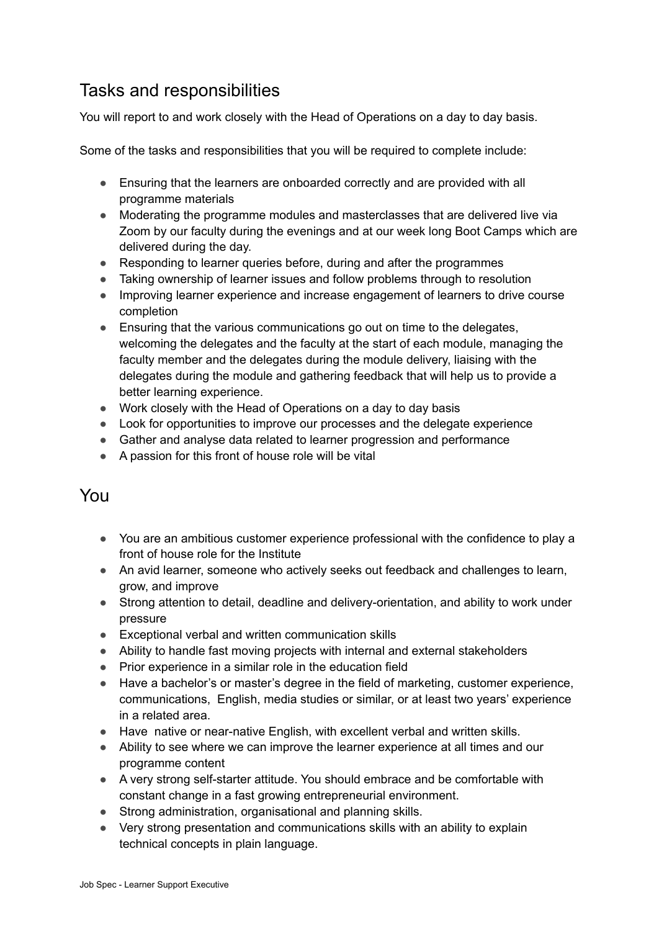## Tasks and responsibilities

You will report to and work closely with the Head of Operations on a day to day basis.

Some of the tasks and responsibilities that you will be required to complete include:

- Ensuring that the learners are onboarded correctly and are provided with all programme materials
- Moderating the programme modules and masterclasses that are delivered live via Zoom by our faculty during the evenings and at our week long Boot Camps which are delivered during the day.
- Responding to learner queries before, during and after the programmes
- Taking ownership of learner issues and follow problems through to resolution
- Improving learner experience and increase engagement of learners to drive course completion
- Ensuring that the various communications go out on time to the delegates, welcoming the delegates and the faculty at the start of each module, managing the faculty member and the delegates during the module delivery, liaising with the delegates during the module and gathering feedback that will help us to provide a better learning experience.
- Work closely with the Head of Operations on a day to day basis
- Look for opportunities to improve our processes and the delegate experience
- Gather and analyse data related to learner progression and performance
- A passion for this front of house role will be vital

#### You

- You are an ambitious customer experience professional with the confidence to play a front of house role for the Institute
- An avid learner, someone who actively seeks out feedback and challenges to learn, grow, and improve
- Strong attention to detail, deadline and delivery-orientation, and ability to work under pressure
- Exceptional verbal and written communication skills
- Ability to handle fast moving projects with internal and external stakeholders
- Prior experience in a similar role in the education field
- Have a bachelor's or master's degree in the field of marketing, customer experience, communications, English, media studies or similar, or at least two years' experience in a related area.
- Have native or near-native English, with excellent verbal and written skills.
- Ability to see where we can improve the learner experience at all times and our programme content
- A very strong self-starter attitude. You should embrace and be comfortable with constant change in a fast growing entrepreneurial environment.
- Strong administration, organisational and planning skills.
- Very strong presentation and communications skills with an ability to explain technical concepts in plain language.